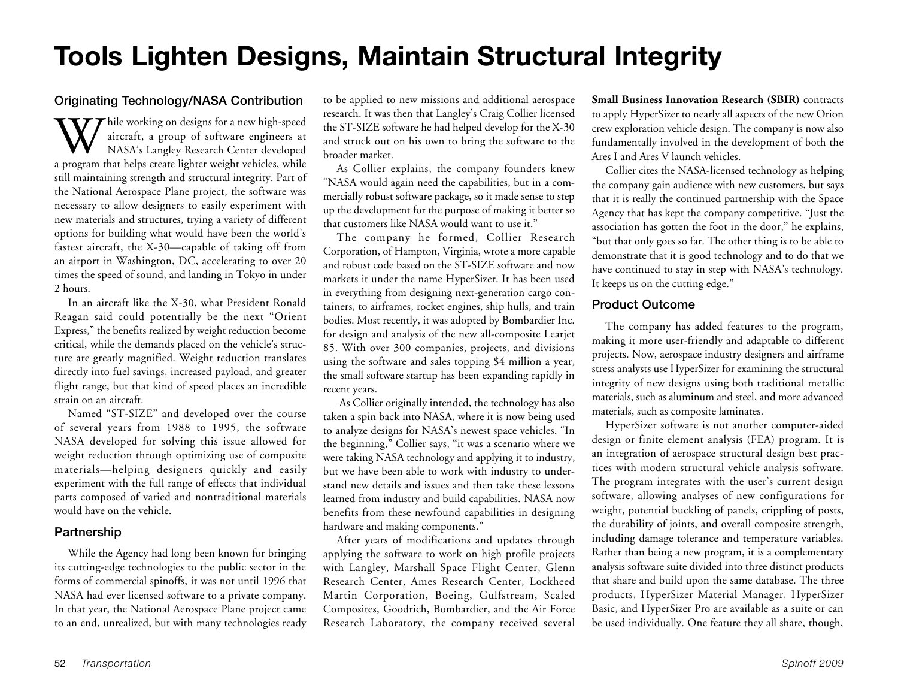## **Tools Lighten Designs, Maintain Structural Integrity**

## Originating Technology/NASA Contribution

 $\tau$  hile working on designs for a new high-speed aircraft, a group of software engineers at NASA's Langley Research Center developed a program that helps create lighter weight vehicles, while still maintaining strength and structural integrity. Part of the National Aerospace Plane project, the software was necessary to allow designers to easily experiment with new materials and structures, trying a variety of different options for building what would have been the world's fastest aircraft, the X-30—capable of taking off from an airport in Washington, DC, accelerating to over 20 times the speed of sound, and landing in Tokyo in under 2 hours.

In an aircraft like the X-30, what President Ronald Reagan said could potentially be the next "Orient Express," the benefits realized by weight reduction become critical, while the demands placed on the vehicle's structure are greatly magnified. Weight reduction translates directly into fuel savings, increased payload, and greater flight range, but that kind of speed places an incredible strain on an aircraft.

Named "ST-SIZE" and developed over the course of several years from 1988 to 1995, the software NASA developed for solving this issue allowed for weight reduction through optimizing use of composite materials—helping designers quickly and easily experiment with the full range of effects that individual parts composed of varied and nontraditional materials would have on the vehicle.

## Partnership

While the Agency had long been known for bringing its cutting-edge technologies to the public sector in the forms of commercial spinoffs, it was not until 1996 that NASA had ever licensed software to a private company. In that year, the National Aerospace Plane project came to an end, unrealized, but with many technologies ready

to be applied to new missions and additional aerospace research. It was then that Langley's Craig Collier licensed the ST-SIZE software he had helped develop for the X-30 and struck out on his own to bring the software to the broader market.

As Collier explains, the company founders knew "NASA would again need the capabilities, but in a commercially robust software package, so it made sense to step up the development for the purpose of making it better so that customers like NASA would want to use it."

The company he formed, Collier Research Corporation, of Hampton, Virginia, wrote a more capable and robust code based on the ST-SIZE software and now markets it under the name HyperSizer. It has been used in everything from designing next-generation cargo containers, to airframes, rocket engines, ship hulls, and train bodies. Most recently, it was adopted by Bombardier Inc. for design and analysis of the new all-composite Learjet 85. With over 300 companies, projects, and divisions using the software and sales topping \$4 million a year, the small software startup has been expanding rapidly in recent years.

 As Collier originally intended, the technology has also taken a spin back into NASA, where it is now being used to analyze designs for NASA's newest space vehicles. "In the beginning," Collier says, "it was a scenario where we were taking NASA technology and applying it to industry, but we have been able to work with industry to understand new details and issues and then take these lessons learned from industry and build capabilities. NASA now benefits from these newfound capabilities in designing hardware and making components."

After years of modifications and updates through applying the software to work on high profile projects with Langley, Marshall Space Flight Center, Glenn Research Center, Ames Research Center, Lockheed Martin Corporation, Boeing, Gulfstream, Scaled Composites, Goodrich, Bombardier, and the Air Force Research Laboratory, the company received several **Small Business Innovation Research (SBIR)** contracts to apply HyperSizer to nearly all aspects of the new Orion crew exploration vehicle design. The company is now also fundamentally involved in the development of both the Ares I and Ares V launch vehicles.

Collier cites the NASA-licensed technology as helping the company gain audience with new customers, but says that it is really the continued partnership with the Space Agency that has kept the company competitive. "Just the association has gotten the foot in the door," he explains, "but that only goes so far. The other thing is to be able to demonstrate that it is good technology and to do that we have continued to stay in step with NASA's technology. It keeps us on the cutting edge."

## Product Outcome

The company has added features to the program, making it more user-friendly and adaptable to different projects. Now, aerospace industry designers and airframe stress analysts use HyperSizer for examining the structural integrity of new designs using both traditional metallic materials, such as aluminum and steel, and more advanced materials, such as composite laminates.

HyperSizer software is not another computer-aided design or finite element analysis (FEA) program. It is an integration of aerospace structural design best practices with modern structural vehicle analysis software. The program integrates with the user's current design software, allowing analyses of new configurations for weight, potential buckling of panels, crippling of posts, the durability of joints, and overall composite strength, including damage tolerance and temperature variables. Rather than being a new program, it is a complementary analysis software suite divided into three distinct products that share and build upon the same database. The three products, HyperSizer Material Manager, HyperSizer Basic, and HyperSizer Pro are available as a suite or can be used individually. One feature they all share, though,